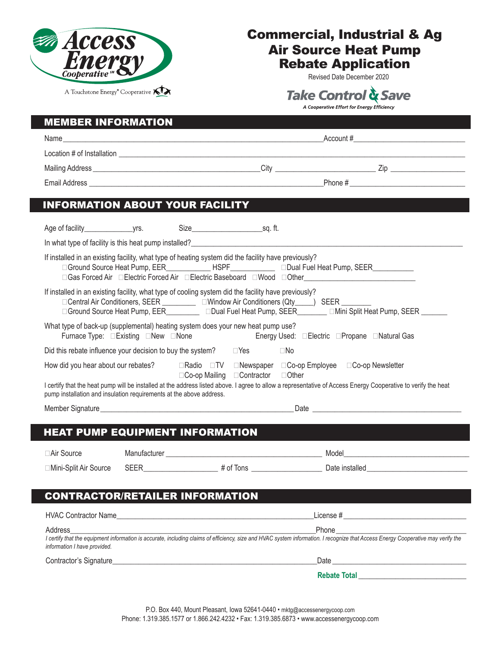

## Commercial, Industrial & Ag Air Source Heat Pump Rebate Application

Revised Date December 2020

# Take Control & Save

| <b>INFORMATION ABOUT YOUR FACILITY</b>                              |                                        |                                                                                                                                                                                                                                                                                                                             |
|---------------------------------------------------------------------|----------------------------------------|-----------------------------------------------------------------------------------------------------------------------------------------------------------------------------------------------------------------------------------------------------------------------------------------------------------------------------|
|                                                                     |                                        |                                                                                                                                                                                                                                                                                                                             |
|                                                                     |                                        | In what type of facility is this heat pump installed?                                                                                                                                                                                                                                                                       |
|                                                                     |                                        | If installed in an existing facility, what type of heating system did the facility have previously?                                                                                                                                                                                                                         |
|                                                                     |                                        | If installed in an existing facility, what type of cooling system did the facility have previously?<br>□ Central Air Conditioners, SEER __________ □ Window Air Conditioners (Qty____) SEER _______<br>□Ground Source Heat Pump, EER □Ground Source Heat Pump, SEER □Mini Split Heat Pump, SEER □Mini Split Heat Pump, SEER |
|                                                                     | Furnace Type: □ Existing □ New □ None  | What type of back-up (supplemental) heating system does your new heat pump use?<br>Energy Used: □Electric □Propane □Natural Gas                                                                                                                                                                                             |
|                                                                     |                                        | Did this rebate influence your decision to buy the system? $\square$ Yes $\square$ No                                                                                                                                                                                                                                       |
| pump installation and insulation requirements at the above address. |                                        | How did you hear about our rebates?<br>□ Radio □ TV □ Newspaper □ Co-op Employee □ Co-op Newsletter<br>□ Contractor □ Other<br>□Co-op Mailing<br>I certify that the heat pump will be installed at the address listed above. I agree to allow a representative of Access Energy Cooperative to verify the heat              |
|                                                                     |                                        |                                                                                                                                                                                                                                                                                                                             |
| <b>HEAT PUMP EQUIPMENT INFORMATION</b>                              |                                        |                                                                                                                                                                                                                                                                                                                             |
|                                                                     |                                        |                                                                                                                                                                                                                                                                                                                             |
| □Air Source                                                         |                                        |                                                                                                                                                                                                                                                                                                                             |
|                                                                     |                                        | SEER__________________________# of Tons _________________________Date installed_______________________________                                                                                                                                                                                                              |
| □ Mini-Split Air Source                                             |                                        |                                                                                                                                                                                                                                                                                                                             |
|                                                                     | <b>CONTRACTOR/RETAILER INFORMATION</b> |                                                                                                                                                                                                                                                                                                                             |
|                                                                     |                                        | License # The Contract of the Contract of the Contract of the Contract of the Contract of the Contract of the                                                                                                                                                                                                               |
| Address<br>information I have provided.                             |                                        | Phone<br>I certify that the equipment information is accurate, including claims of efficiency, size and HVAC system information. I recognize that Access Energy Cooperative may verify the                                                                                                                                  |
| Contractor's Signature_                                             |                                        |                                                                                                                                                                                                                                                                                                                             |